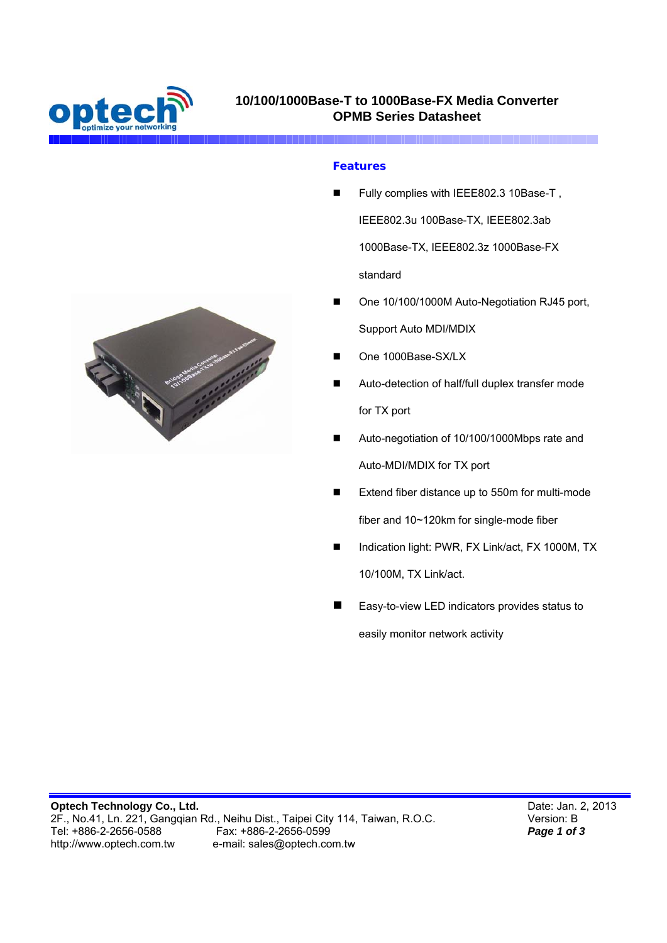

### **Features**

- Fully complies with IEEE802.3 10Base-T , IEEE802.3u 100Base-TX, IEEE802.3ab 1000Base-TX, IEEE802.3z 1000Base-FX standard
- One 10/100/1000M Auto-Negotiation RJ45 port, Support Auto MDI/MDIX
- One 1000Base-SX/LX
- Auto-detection of half/full duplex transfer mode for TX port
- Auto-negotiation of 10/100/1000Mbps rate and Auto-MDI/MDIX for TX port
- Extend fiber distance up to 550m for multi-mode fiber and 10~120km for single-mode fiber
- Indication light: PWR, FX Link/act, FX 1000M, TX 10/100M, TX Link/act.
- Easy-to-view LED indicators provides status to easily monitor network activity



**Optech Technology Co., Ltd.**  2F., No.41, Ln. 221, Gangqian Rd., Neihu Dist., Taipei City 114, Taiwan, R.O.C.<br>Tel: +886-2-2656-0588 Fax: +886-2-2656-0599<br>http://www.optech.com.tw e-mail: sales@optech.com.tw e-mail: sales@optech.com.tw

Date: Jan. 2, 2013 Version: B *Page 1 of 3*

I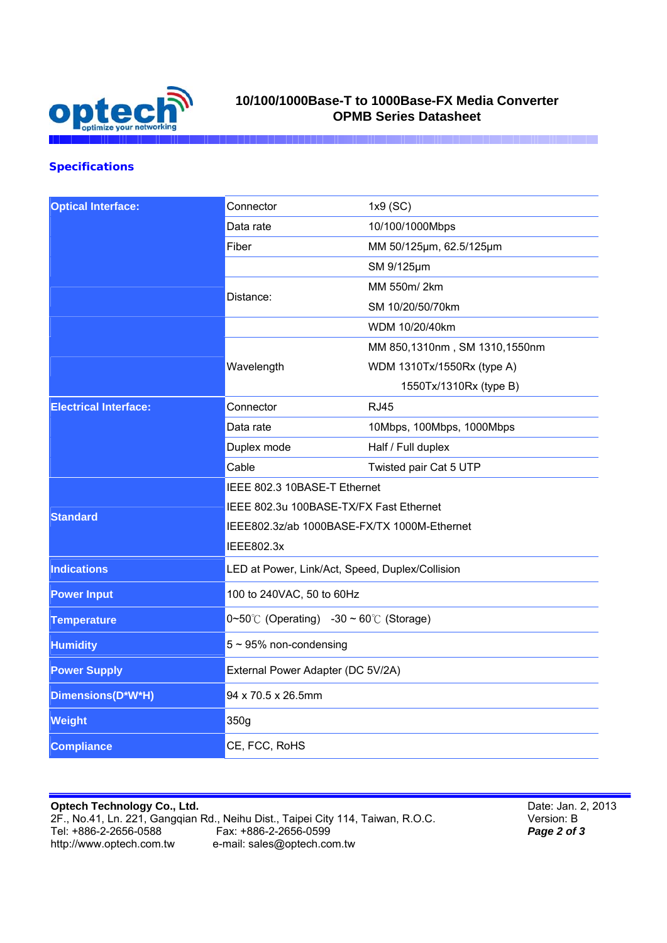

## **10/100/1000Base-T to 1000Base-FX Media Converter OPMB Series Datasheet**

### **Specifications**

| <b>Optical Interface:</b>    | Connector                                                  | 1x9 (SC)                      |
|------------------------------|------------------------------------------------------------|-------------------------------|
|                              | Data rate                                                  | 10/100/1000Mbps               |
|                              | Fiber                                                      | MM 50/125µm, 62.5/125µm       |
|                              |                                                            | SM 9/125µm                    |
|                              | Distance:                                                  | MM 550m/2km                   |
|                              |                                                            | SM 10/20/50/70km              |
|                              |                                                            | WDM 10/20/40km                |
|                              |                                                            | MM 850,1310nm, SM 1310,1550nm |
|                              | Wavelength                                                 | WDM 1310Tx/1550Rx (type A)    |
|                              |                                                            | 1550Tx/1310Rx (type B)        |
| <b>Electrical Interface:</b> | Connector                                                  | <b>RJ45</b>                   |
|                              | Data rate                                                  | 10Mbps, 100Mbps, 1000Mbps     |
|                              | Duplex mode                                                | Half / Full duplex            |
|                              | Cable                                                      | Twisted pair Cat 5 UTP        |
| <b>Standard</b>              | IEEE 802.3 10BASE-T Ethernet                               |                               |
|                              | IEEE 802.3u 100BASE-TX/FX Fast Ethernet                    |                               |
|                              | IEEE802.3z/ab 1000BASE-FX/TX 1000M-Ethernet                |                               |
|                              | <b>IEEE802.3x</b>                                          |                               |
| <b>Indications</b>           | LED at Power, Link/Act, Speed, Duplex/Collision            |                               |
| <b>Power Input</b>           | 100 to 240VAC, 50 to 60Hz                                  |                               |
| <b>Temperature</b>           | $0 \sim 50^{\circ}$ (Operating) -30 ~ 60 $\circ$ (Storage) |                               |
| <b>Humidity</b>              | $5 \sim 95\%$ non-condensing                               |                               |
| <b>Power Supply</b>          | External Power Adapter (DC 5V/2A)                          |                               |
| Dimensions(D*W*H)            | 94 x 70.5 x 26.5mm                                         |                               |
| <b>Weight</b>                | 350g                                                       |                               |
| <b>Compliance</b>            | CE, FCC, RoHS                                              |                               |

**Optech Technology Co., Ltd.**  2F., No.41, Ln. 221, Gangqian Rd., Neihu Dist., Taipei City 114, Taiwan, R.O.C. Tel: +886-2-2656-0588 Fax: +886-2-2656-0599 http://www.optech.com.tw e-mail: sales@optech.com.tw

Date: Jan. 2, 2013 Version: B *Page 2 of 3*

I